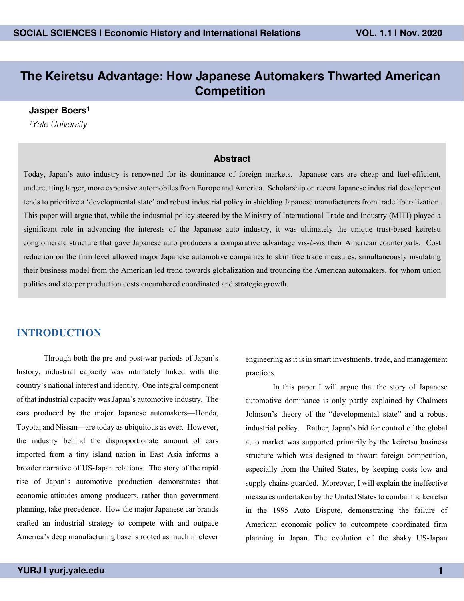#### **The Keiretsu Advantage: How Japanese Automakers Thwarted American Competition**

#### **Jasper Boers1**

*1Yale University*

#### **Abstract**

Today, Japan's auto industry is renowned for its dominance of foreign markets. Japanese cars are cheap and fuel-efficient, undercutting larger, more expensive automobiles from Europe and America. Scholarship on recent Japanese industrial development tends to prioritize a 'developmental state' and robust industrial policy in shielding Japanese manufacturers from trade liberalization. This paper will argue that, while the industrial policy steered by the Ministry of International Trade and Industry (MITI) played a significant role in advancing the interests of the Japanese auto industry, it was ultimately the unique trust-based keiretsu conglomerate structure that gave Japanese auto producers a comparative advantage vis-à-vis their American counterparts. Cost reduction on the firm level allowed major Japanese automotive companies to skirt free trade measures, simultaneously insulating their business model from the American led trend towards globalization and trouncing the American automakers, for whom union politics and steeper production costs encumbered coordinated and strategic growth.

#### **INTRODUCTION**

Through both the pre and post-war periods of Japan's history, industrial capacity was intimately linked with the country's national interest and identity. One integral component of that industrial capacity was Japan's automotive industry. The cars produced by the major Japanese automakers—Honda, Toyota, and Nissan—are today as ubiquitous as ever. However, the industry behind the disproportionate amount of cars imported from a tiny island nation in East Asia informs a broader narrative of US-Japan relations. The story of the rapid rise of Japan's automotive production demonstrates that economic attitudes among producers, rather than government planning, take precedence. How the major Japanese car brands crafted an industrial strategy to compete with and outpace America's deep manufacturing base is rooted as much in clever

engineering as it is in smart investments, trade, and management practices.

In this paper I will argue that the story of Japanese automotive dominance is only partly explained by Chalmers Johnson's theory of the "developmental state" and a robust industrial policy. Rather, Japan's bid for control of the global auto market was supported primarily by the keiretsu business structure which was designed to thwart foreign competition, especially from the United States, by keeping costs low and supply chains guarded. Moreover, I will explain the ineffective measures undertaken by the United States to combat the keiretsu in the 1995 Auto Dispute, demonstrating the failure of American economic policy to outcompete coordinated firm planning in Japan. The evolution of the shaky US-Japan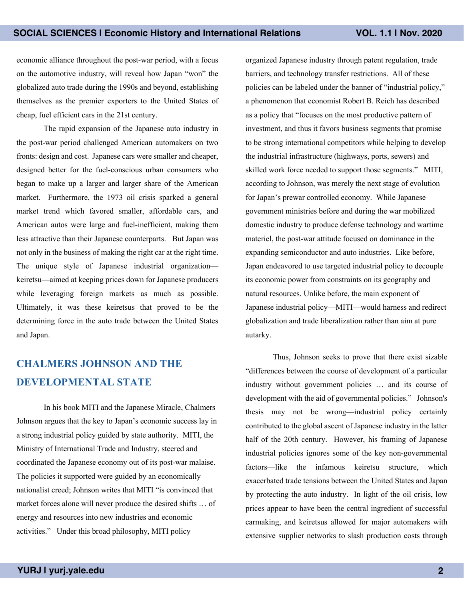economic alliance throughout the post-war period, with a focus on the automotive industry, will reveal how Japan "won" the globalized auto trade during the 1990s and beyond, establishing themselves as the premier exporters to the United States of cheap, fuel efficient cars in the 21st century.

The rapid expansion of the Japanese auto industry in the post-war period challenged American automakers on two fronts: design and cost. Japanese cars were smaller and cheaper, designed better for the fuel-conscious urban consumers who began to make up a larger and larger share of the American market. Furthermore, the 1973 oil crisis sparked a general market trend which favored smaller, affordable cars, and American autos were large and fuel-inefficient, making them less attractive than their Japanese counterparts. But Japan was not only in the business of making the right car at the right time. The unique style of Japanese industrial organization keiretsu—aimed at keeping prices down for Japanese producers while leveraging foreign markets as much as possible. Ultimately, it was these keiretsus that proved to be the determining force in the auto trade between the United States and Japan.

### **CHALMERS JOHNSON AND THE DEVELOPMENTAL STATE**

In his book MITI and the Japanese Miracle, Chalmers Johnson argues that the key to Japan's economic success lay in a strong industrial policy guided by state authority. MITI, the Ministry of International Trade and Industry, steered and coordinated the Japanese economy out of its post-war malaise. The policies it supported were guided by an economically nationalist creed; Johnson writes that MITI "is convinced that market forces alone will never produce the desired shifts … of energy and resources into new industries and economic activities." Under this broad philosophy, MITI policy

organized Japanese industry through patent regulation, trade barriers, and technology transfer restrictions. All of these policies can be labeled under the banner of "industrial policy," a phenomenon that economist Robert B. Reich has described as a policy that "focuses on the most productive pattern of investment, and thus it favors business segments that promise to be strong international competitors while helping to develop the industrial infrastructure (highways, ports, sewers) and skilled work force needed to support those segments." MITI, according to Johnson, was merely the next stage of evolution for Japan's prewar controlled economy. While Japanese government ministries before and during the war mobilized domestic industry to produce defense technology and wartime materiel, the post-war attitude focused on dominance in the expanding semiconductor and auto industries. Like before, Japan endeavored to use targeted industrial policy to decouple its economic power from constraints on its geography and natural resources. Unlike before, the main exponent of Japanese industrial policy—MITI—would harness and redirect globalization and trade liberalization rather than aim at pure autarky.

Thus, Johnson seeks to prove that there exist sizable "differences between the course of development of a particular industry without government policies … and its course of development with the aid of governmental policies." Johnson's thesis may not be wrong—industrial policy certainly contributed to the global ascent of Japanese industry in the latter half of the 20th century. However, his framing of Japanese industrial policies ignores some of the key non-governmental factors—like the infamous keiretsu structure, which exacerbated trade tensions between the United States and Japan by protecting the auto industry. In light of the oil crisis, low prices appear to have been the central ingredient of successful carmaking, and keiretsus allowed for major automakers with extensive supplier networks to slash production costs through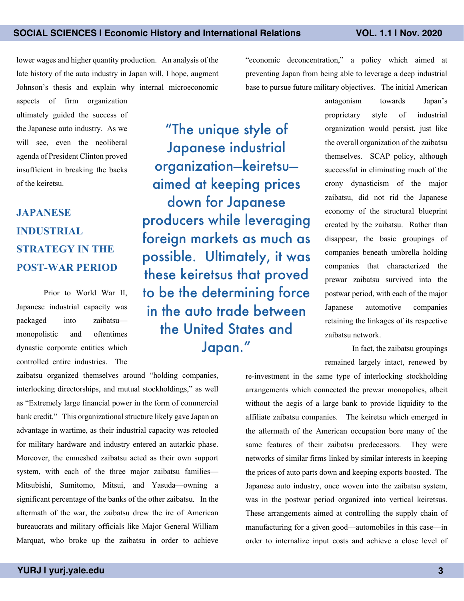lower wages and higher quantity production. An analysis of the late history of the auto industry in Japan will, I hope, augment Johnson's thesis and explain why internal microeconomic

aspects of firm organization ultimately guided the success of the Japanese auto industry. As we will see, even the neoliberal agenda of President Clinton proved insufficient in breaking the backs of the keiretsu.

# **JAPANESE INDUSTRIAL STRATEGY IN THE POST-WAR PERIOD**

Prior to World War II, Japanese industrial capacity was packaged into zaibatsu monopolistic and oftentimes dynastic corporate entities which controlled entire industries. The

zaibatsu organized themselves around "holding companies, interlocking directorships, and mutual stockholdings," as well as "Extremely large financial power in the form of commercial bank credit." This organizational structure likely gave Japan an advantage in wartime, as their industrial capacity was retooled for military hardware and industry entered an autarkic phase. Moreover, the enmeshed zaibatsu acted as their own support system, with each of the three major zaibatsu families— Mitsubishi, Sumitomo, Mitsui, and Yasuda—owning a significant percentage of the banks of the other zaibatsu. In the aftermath of the war, the zaibatsu drew the ire of American bureaucrats and military officials like Major General William Marquat, who broke up the zaibatsu in order to achieve

"The unique style of Japanese industrial organization—keiretsu aimed at keeping prices down for Japanese producers while leveraging foreign markets as much as possible. Ultimately, it was these keiretsus that proved to be the determining force in the auto trade between the United States and Japan."

"economic deconcentration," a policy which aimed at preventing Japan from being able to leverage a deep industrial base to pursue future military objectives. The initial American

> antagonism towards Japan's proprietary style of industrial organization would persist, just like the overall organization of the zaibatsu themselves. SCAP policy, although successful in eliminating much of the crony dynasticism of the major zaibatsu, did not rid the Japanese economy of the structural blueprint created by the zaibatsu. Rather than disappear, the basic groupings of companies beneath umbrella holding companies that characterized the prewar zaibatsu survived into the postwar period, with each of the major Japanese automotive companies retaining the linkages of its respective zaibatsu network.

In fact, the zaibatsu groupings remained largely intact, renewed by

re-investment in the same type of interlocking stockholding arrangements which connected the prewar monopolies, albeit without the aegis of a large bank to provide liquidity to the affiliate zaibatsu companies. The keiretsu which emerged in the aftermath of the American occupation bore many of the same features of their zaibatsu predecessors. They were networks of similar firms linked by similar interests in keeping the prices of auto parts down and keeping exports boosted. The Japanese auto industry, once woven into the zaibatsu system, was in the postwar period organized into vertical keiretsus. These arrangements aimed at controlling the supply chain of manufacturing for a given good—automobiles in this case—in order to internalize input costs and achieve a close level of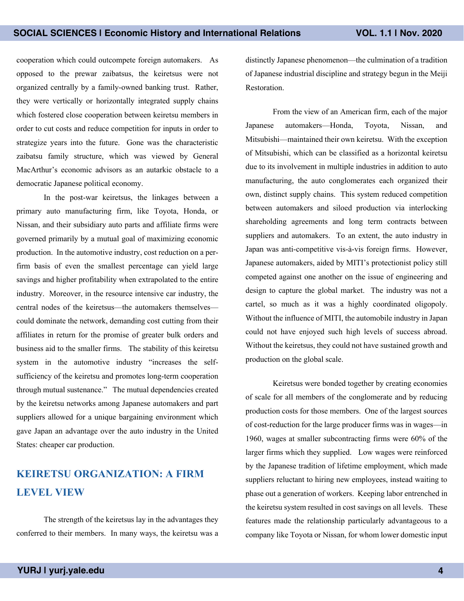cooperation which could outcompete foreign automakers. As opposed to the prewar zaibatsus, the keiretsus were not organized centrally by a family-owned banking trust. Rather, they were vertically or horizontally integrated supply chains which fostered close cooperation between keiretsu members in order to cut costs and reduce competition for inputs in order to strategize years into the future. Gone was the characteristic zaibatsu family structure, which was viewed by General MacArthur's economic advisors as an autarkic obstacle to a democratic Japanese political economy.

In the post-war keiretsus, the linkages between a primary auto manufacturing firm, like Toyota, Honda, or Nissan, and their subsidiary auto parts and affiliate firms were governed primarily by a mutual goal of maximizing economic production. In the automotive industry, cost reduction on a perfirm basis of even the smallest percentage can yield large savings and higher profitability when extrapolated to the entire industry. Moreover, in the resource intensive car industry, the central nodes of the keiretsus—the automakers themselves could dominate the network, demanding cost cutting from their affiliates in return for the promise of greater bulk orders and business aid to the smaller firms. The stability of this keiretsu system in the automotive industry "increases the selfsufficiency of the keiretsu and promotes long-term cooperation through mutual sustenance." The mutual dependencies created by the keiretsu networks among Japanese automakers and part suppliers allowed for a unique bargaining environment which gave Japan an advantage over the auto industry in the United States: cheaper car production.

## **KEIRETSU ORGANIZATION: A FIRM LEVEL VIEW**

The strength of the keiretsus lay in the advantages they conferred to their members. In many ways, the keiretsu was a distinctly Japanese phenomenon—the culmination of a tradition of Japanese industrial discipline and strategy begun in the Meiji Restoration.

From the view of an American firm, each of the major Japanese automakers—Honda, Toyota, Nissan, and Mitsubishi—maintained their own keiretsu. With the exception of Mitsubishi, which can be classified as a horizontal keiretsu due to its involvement in multiple industries in addition to auto manufacturing, the auto conglomerates each organized their own, distinct supply chains. This system reduced competition between automakers and siloed production via interlocking shareholding agreements and long term contracts between suppliers and automakers. To an extent, the auto industry in Japan was anti-competitive vis-à-vis foreign firms. However, Japanese automakers, aided by MITI's protectionist policy still competed against one another on the issue of engineering and design to capture the global market. The industry was not a cartel, so much as it was a highly coordinated oligopoly. Without the influence of MITI, the automobile industry in Japan could not have enjoyed such high levels of success abroad. Without the keiretsus, they could not have sustained growth and production on the global scale.

Keiretsus were bonded together by creating economies of scale for all members of the conglomerate and by reducing production costs for those members. One of the largest sources of cost-reduction for the large producer firms was in wages—in 1960, wages at smaller subcontracting firms were 60% of the larger firms which they supplied. Low wages were reinforced by the Japanese tradition of lifetime employment, which made suppliers reluctant to hiring new employees, instead waiting to phase out a generation of workers. Keeping labor entrenched in the keiretsu system resulted in cost savings on all levels. These features made the relationship particularly advantageous to a company like Toyota or Nissan, for whom lower domestic input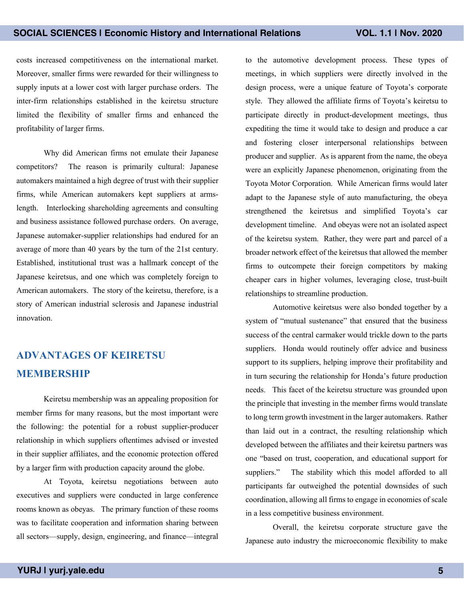costs increased competitiveness on the international market. Moreover, smaller firms were rewarded for their willingness to supply inputs at a lower cost with larger purchase orders. The inter-firm relationships established in the keiretsu structure limited the flexibility of smaller firms and enhanced the profitability of larger firms.

Why did American firms not emulate their Japanese competitors? The reason is primarily cultural: Japanese automakers maintained a high degree of trust with their supplier firms, while American automakers kept suppliers at armslength. Interlocking shareholding agreements and consulting and business assistance followed purchase orders. On average, Japanese automaker-supplier relationships had endured for an average of more than 40 years by the turn of the 21st century. Established, institutional trust was a hallmark concept of the Japanese keiretsus, and one which was completely foreign to American automakers. The story of the keiretsu, therefore, is a story of American industrial sclerosis and Japanese industrial innovation.

## **ADVANTAGES OF KEIRETSU MEMBERSHIP**

Keiretsu membership was an appealing proposition for member firms for many reasons, but the most important were the following: the potential for a robust supplier-producer relationship in which suppliers oftentimes advised or invested in their supplier affiliates, and the economic protection offered by a larger firm with production capacity around the globe.

At Toyota, keiretsu negotiations between auto executives and suppliers were conducted in large conference rooms known as obeyas. The primary function of these rooms was to facilitate cooperation and information sharing between all sectors—supply, design, engineering, and finance—integral

to the automotive development process. These types of meetings, in which suppliers were directly involved in the design process, were a unique feature of Toyota's corporate style. They allowed the affiliate firms of Toyota's keiretsu to participate directly in product-development meetings, thus expediting the time it would take to design and produce a car and fostering closer interpersonal relationships between producer and supplier. As is apparent from the name, the obeya were an explicitly Japanese phenomenon, originating from the Toyota Motor Corporation. While American firms would later adapt to the Japanese style of auto manufacturing, the obeya strengthened the keiretsus and simplified Toyota's car development timeline. And obeyas were not an isolated aspect of the keiretsu system. Rather, they were part and parcel of a broader network effect of the keiretsus that allowed the member firms to outcompete their foreign competitors by making cheaper cars in higher volumes, leveraging close, trust-built relationships to streamline production.

Automotive keiretsus were also bonded together by a system of "mutual sustenance" that ensured that the business success of the central carmaker would trickle down to the parts suppliers. Honda would routinely offer advice and business support to its suppliers, helping improve their profitability and in turn securing the relationship for Honda's future production needs. This facet of the keiretsu structure was grounded upon the principle that investing in the member firms would translate to long term growth investment in the larger automakers. Rather than laid out in a contract, the resulting relationship which developed between the affiliates and their keiretsu partners was one "based on trust, cooperation, and educational support for suppliers." The stability which this model afforded to all participants far outweighed the potential downsides of such coordination, allowing all firms to engage in economies of scale in a less competitive business environment.

Overall, the keiretsu corporate structure gave the Japanese auto industry the microeconomic flexibility to make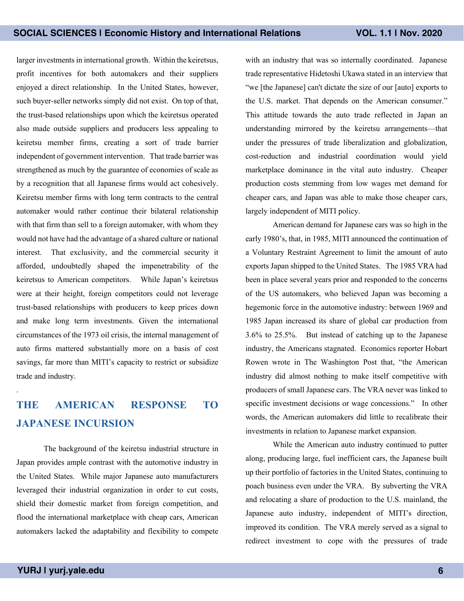larger investments in international growth. Within the keiretsus, profit incentives for both automakers and their suppliers enjoyed a direct relationship. In the United States, however, such buyer-seller networks simply did not exist. On top of that, the trust-based relationships upon which the keiretsus operated also made outside suppliers and producers less appealing to keiretsu member firms, creating a sort of trade barrier independent of government intervention. That trade barrier was strengthened as much by the guarantee of economies of scale as by a recognition that all Japanese firms would act cohesively. Keiretsu member firms with long term contracts to the central automaker would rather continue their bilateral relationship with that firm than sell to a foreign automaker, with whom they would not have had the advantage of a shared culture or national interest. That exclusivity, and the commercial security it afforded, undoubtedly shaped the impenetrability of the keiretsus to American competitors. While Japan's keiretsus were at their height, foreign competitors could not leverage trust-based relationships with producers to keep prices down and make long term investments. Given the international circumstances of the 1973 oil crisis, the internal management of auto firms mattered substantially more on a basis of cost savings, far more than MITI's capacity to restrict or subsidize trade and industry.

# **THE AMERICAN RESPONSE TO JAPANESE INCURSION**

The background of the keiretsu industrial structure in Japan provides ample contrast with the automotive industry in the United States. While major Japanese auto manufacturers leveraged their industrial organization in order to cut costs, shield their domestic market from foreign competition, and flood the international marketplace with cheap cars, American automakers lacked the adaptability and flexibility to compete with an industry that was so internally coordinated. Japanese trade representative Hidetoshi Ukawa stated in an interview that "we [the Japanese] can't dictate the size of our [auto] exports to the U.S. market. That depends on the American consumer." This attitude towards the auto trade reflected in Japan an understanding mirrored by the keiretsu arrangements—that under the pressures of trade liberalization and globalization, cost-reduction and industrial coordination would yield marketplace dominance in the vital auto industry. Cheaper production costs stemming from low wages met demand for cheaper cars, and Japan was able to make those cheaper cars, largely independent of MITI policy.

American demand for Japanese cars was so high in the early 1980's, that, in 1985, MITI announced the continuation of a Voluntary Restraint Agreement to limit the amount of auto exports Japan shipped to the United States. The 1985 VRA had been in place several years prior and responded to the concerns of the US automakers, who believed Japan was becoming a hegemonic force in the automotive industry: between 1969 and 1985 Japan increased its share of global car production from 3.6% to 25.5%. But instead of catching up to the Japanese industry, the Americans stagnated. Economics reporter Hobart Rowen wrote in The Washington Post that, "the American industry did almost nothing to make itself competitive with producers of small Japanese cars. The VRA never was linked to specific investment decisions or wage concessions." In other words, the American automakers did little to recalibrate their investments in relation to Japanese market expansion.

While the American auto industry continued to putter along, producing large, fuel inefficient cars, the Japanese built up their portfolio of factories in the United States, continuing to poach business even under the VRA. By subverting the VRA and relocating a share of production to the U.S. mainland, the Japanese auto industry, independent of MITI's direction, improved its condition. The VRA merely served as a signal to redirect investment to cope with the pressures of trade

.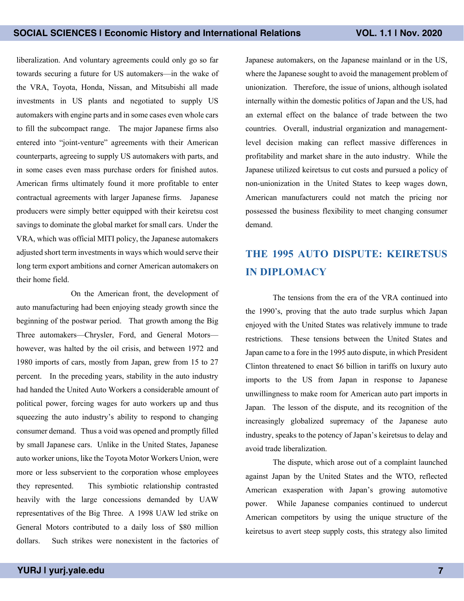liberalization. And voluntary agreements could only go so far towards securing a future for US automakers—in the wake of the VRA, Toyota, Honda, Nissan, and Mitsubishi all made investments in US plants and negotiated to supply US automakers with engine parts and in some cases even whole cars to fill the subcompact range. The major Japanese firms also entered into "joint-venture" agreements with their American counterparts, agreeing to supply US automakers with parts, and in some cases even mass purchase orders for finished autos. American firms ultimately found it more profitable to enter contractual agreements with larger Japanese firms. Japanese producers were simply better equipped with their keiretsu cost savings to dominate the global market for small cars. Under the VRA, which was official MITI policy, the Japanese automakers adjusted short term investments in ways which would serve their long term export ambitions and corner American automakers on their home field.

On the American front, the development of auto manufacturing had been enjoying steady growth since the beginning of the postwar period. That growth among the Big Three automakers—Chrysler, Ford, and General Motors however, was halted by the oil crisis, and between 1972 and 1980 imports of cars, mostly from Japan, grew from 15 to 27 percent. In the preceding years, stability in the auto industry had handed the United Auto Workers a considerable amount of political power, forcing wages for auto workers up and thus squeezing the auto industry's ability to respond to changing consumer demand. Thus a void was opened and promptly filled by small Japanese cars. Unlike in the United States, Japanese auto worker unions, like the Toyota Motor Workers Union, were more or less subservient to the corporation whose employees they represented. This symbiotic relationship contrasted heavily with the large concessions demanded by UAW representatives of the Big Three. A 1998 UAW led strike on General Motors contributed to a daily loss of \$80 million dollars. Such strikes were nonexistent in the factories of

Japanese automakers, on the Japanese mainland or in the US, where the Japanese sought to avoid the management problem of unionization. Therefore, the issue of unions, although isolated internally within the domestic politics of Japan and the US, had an external effect on the balance of trade between the two countries. Overall, industrial organization and managementlevel decision making can reflect massive differences in profitability and market share in the auto industry. While the Japanese utilized keiretsus to cut costs and pursued a policy of non-unionization in the United States to keep wages down, American manufacturers could not match the pricing nor possessed the business flexibility to meet changing consumer demand.

### **THE 1995 AUTO DISPUTE: KEIRETSUS IN DIPLOMACY**

The tensions from the era of the VRA continued into the 1990's, proving that the auto trade surplus which Japan enjoyed with the United States was relatively immune to trade restrictions. These tensions between the United States and Japan came to a fore in the 1995 auto dispute, in which President Clinton threatened to enact \$6 billion in tariffs on luxury auto imports to the US from Japan in response to Japanese unwillingness to make room for American auto part imports in Japan. The lesson of the dispute, and its recognition of the increasingly globalized supremacy of the Japanese auto industry, speaks to the potency of Japan's keiretsus to delay and avoid trade liberalization.

The dispute, which arose out of a complaint launched against Japan by the United States and the WTO, reflected American exasperation with Japan's growing automotive power. While Japanese companies continued to undercut American competitors by using the unique structure of the keiretsus to avert steep supply costs, this strategy also limited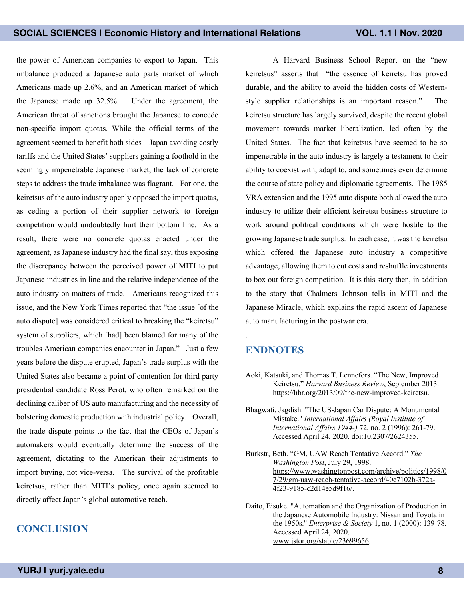the power of American companies to export to Japan. This imbalance produced a Japanese auto parts market of which Americans made up 2.6%, and an American market of which the Japanese made up 32.5%. Under the agreement, the American threat of sanctions brought the Japanese to concede non-specific import quotas. While the official terms of the agreement seemed to benefit both sides—Japan avoiding costly tariffs and the United States' suppliers gaining a foothold in the seemingly impenetrable Japanese market, the lack of concrete steps to address the trade imbalance was flagrant. For one, the keiretsus of the auto industry openly opposed the import quotas, as ceding a portion of their supplier network to foreign competition would undoubtedly hurt their bottom line. As a result, there were no concrete quotas enacted under the agreement, as Japanese industry had the final say, thus exposing the discrepancy between the perceived power of MITI to put Japanese industries in line and the relative independence of the auto industry on matters of trade. Americans recognized this issue, and the New York Times reported that "the issue [of the auto dispute] was considered critical to breaking the "keiretsu" system of suppliers, which [had] been blamed for many of the troubles American companies encounter in Japan." Just a few years before the dispute erupted, Japan's trade surplus with the United States also became a point of contention for third party presidential candidate Ross Perot, who often remarked on the declining caliber of US auto manufacturing and the necessity of bolstering domestic production with industrial policy. Overall, the trade dispute points to the fact that the CEOs of Japan's automakers would eventually determine the success of the agreement, dictating to the American their adjustments to import buying, not vice-versa. The survival of the profitable keiretsus, rather than MITI's policy, once again seemed to directly affect Japan's global automotive reach.

#### **CONCLUSION**

A Harvard Business School Report on the "new keiretsus" asserts that "the essence of keiretsu has proved durable, and the ability to avoid the hidden costs of Westernstyle supplier relationships is an important reason." The keiretsu structure has largely survived, despite the recent global movement towards market liberalization, led often by the United States. The fact that keiretsus have seemed to be so impenetrable in the auto industry is largely a testament to their ability to coexist with, adapt to, and sometimes even determine the course of state policy and diplomatic agreements. The 1985 VRA extension and the 1995 auto dispute both allowed the auto industry to utilize their efficient keiretsu business structure to work around political conditions which were hostile to the growing Japanese trade surplus. In each case, it was the keiretsu which offered the Japanese auto industry a competitive advantage, allowing them to cut costs and reshuffle investments to box out foreign competition. It is this story then, in addition to the story that Chalmers Johnson tells in MITI and the Japanese Miracle, which explains the rapid ascent of Japanese auto manufacturing in the postwar era.

#### **ENDNOTES**

.

- Aoki, Katsuki, and Thomas T. Lennefors. "The New, Improved Keiretsu." *Harvard Business Review*, September 2013. https://hbr.org/2013/09/the-new-improved-keiretsu.
- Bhagwati, Jagdish. "The US-Japan Car Dispute: A Monumental Mistake." *International Affairs (Royal Institute of International Affairs 1944-)* 72, no. 2 (1996): 261-79. Accessed April 24, 2020. doi:10.2307/2624355.
- Burkstr, Beth. "GM, UAW Reach Tentative Accord." *The Washington Post*, July 29, 1998. https://www.washingtonpost.com/archive/politics/1998/0 7/29/gm-uaw-reach-tentative-accord/40e7102b-372a-4f23-9185-c2d14e5d9f16/.

Daito, Eisuke. "Automation and the Organization of Production in the Japanese Automobile Industry: Nissan and Toyota in the 1950s." *Enterprise & Society* 1, no. 1 (2000): 139-78. Accessed April 24, 2020. www.jstor.org/stable/23699656.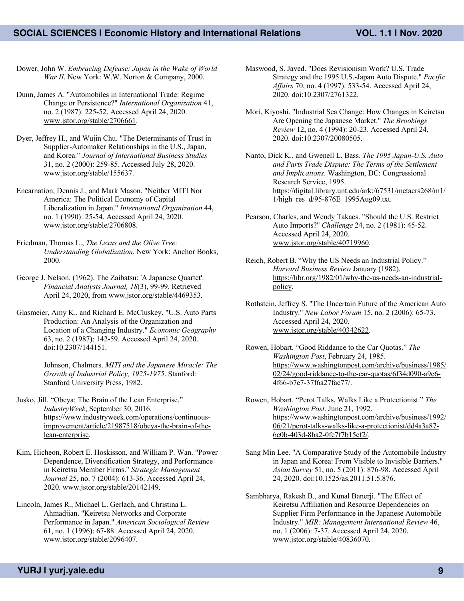Dower, John W. *Embracing Defease: Japan in the Wake of World War II*. New York: W.W. Norton & Company, 2000.

Dunn, James A. "Automobiles in International Trade: Regime Change or Persistence?" *International Organization* 41, no. 2 (1987): 225-52. Accessed April 24, 2020. www.jstor.org/stable/2706661.

Dyer, Jeffrey H., and Wujin Chu. "The Determinants of Trust in Supplier-Automaker Relationships in the U.S., Japan, and Korea." *Journal of International Business Studies* 31, no. 2 (2000): 259-85. Accessed July 28, 2020. www.jstor.org/stable/155637.

Encarnation, Dennis J., and Mark Mason. "Neither MITI Nor America: The Political Economy of Capital Liberalization in Japan." *International Organization* 44, no. 1 (1990): 25-54. Accessed April 24, 2020. www.jstor.org/stable/2706808.

Friedman, Thomas L., *The Lexus and the Olive Tree: Understanding Globalization*. New York: Anchor Books, 2000.

George J. Nelson. (1962). The Zaibatsu: 'A Japanese Quartet'. *Financial Analysts Journal, 18*(3), 99-99. Retrieved April 24, 2020, from www.jstor.org/stable/4469353.

Glasmeier, Amy K., and Richard E. McCluskey. "U.S. Auto Parts Production: An Analysis of the Organization and Location of a Changing Industry." *Economic Geography* 63, no. 2 (1987): 142-59. Accessed April 24, 2020. doi:10.2307/144151.

> Johnson, Chalmers. *MITI and the Japanese Miracle: The Growth of Industrial Policy, 1925-1975*. Stanford: Stanford University Press, 1982.

Jusko, Jill. "Obeya: The Brain of the Lean Enterprise." *IndustryWeek*, September 30, 2016. https://www.industryweek.com/operations/continuousimprovement/article/21987518/obeya-the-brain-of-thelean-enterprise.

Kim, Hicheon, Robert E. Hoskisson, and William P. Wan. "Power Dependence, Diversification Strategy, and Performance in Keiretsu Member Firms." *Strategic Management Journal* 25, no. 7 (2004): 613-36. Accessed April 24, 2020. www.jstor.org/stable/20142149.

Lincoln, James R., Michael L. Gerlach, and Christina L. Ahmadjian. "Keiretsu Networks and Corporate Performance in Japan." *American Sociological Review* 61, no. 1 (1996): 67-88. Accessed April 24, 2020. www.jstor.org/stable/2096407.

Maswood, S. Javed. "Does Revisionism Work? U.S. Trade Strategy and the 1995 U.S.-Japan Auto Dispute." *Pacific Affairs* 70, no. 4 (1997): 533-54. Accessed April 24, 2020. doi:10.2307/2761322.

Mori, Kiyoshi. "Industrial Sea Change: How Changes in Keiretsu Are Opening the Japanese Market." *The Brookings Review* 12, no. 4 (1994): 20-23. Accessed April 24, 2020. doi:10.2307/20080505.

Nanto, Dick K., and Gwenell L. Bass. *The 1995 Japan-U.S. Auto and Parts Trade Dispute: The Terms of the Settlement and Implications*. Washington, DC: Congressional Research Service, 1995. https://digital.library.unt.edu/ark:/67531/metacrs268/m1/ 1/high\_res\_d/95-876E\_1995Aug09.txt.

Pearson, Charles, and Wendy Takacs. "Should the U.S. Restrict Auto Imports?" *Challenge* 24, no. 2 (1981): 45-52. Accessed April 24, 2020. www.jstor.org/stable/40719960.

Reich, Robert B. "Why the US Needs an Industrial Policy." *Harvard Business Review* January (1982). https://hbr.org/1982/01/why-the-us-needs-an-industrialpolicy.

Rothstein, Jeffrey S. "The Uncertain Future of the American Auto Industry." *New Labor Forum* 15, no. 2 (2006): 65-73. Accessed April 24, 2020. www.jstor.org/stable/40342622.

Rowen, Hobart. "Good Riddance to the Car Quotas." *The Washington Post*, February 24, 1985. https://www.washingtonpost.com/archive/business/1985/ 02/24/good-riddance-to-the-car-quotas/6f34d090-a9c6- 4f66-b7e7-37f6a27fae77/.

Rowen, Hobart. "Perot Talks, Walks Like a Protectionist." *The Washington Post*. June 21, 1992. https://www.washingtonpost.com/archive/business/1992/ 06/21/perot-talks-walks-like-a-protectionist/dd4a3a87- 6c0b-403d-8ba2-0fe7f7b15ef2/.

Sang Min Lee. "A Comparative Study of the Automobile Industry in Japan and Korea: From Visible to Invisible Barriers." *Asian Survey* 51, no. 5 (2011): 876-98. Accessed April 24, 2020. doi:10.1525/as.2011.51.5.876.

Sambharya, Rakesh B., and Kunal Banerji. "The Effect of Keiretsu Affiliation and Resource Dependencies on Supplier Firm Performance in the Japanese Automobile Industry." *MIR: Management International Review* 46, no. 1 (2006): 7-37. Accessed April 24, 2020. www.jstor.org/stable/40836070.